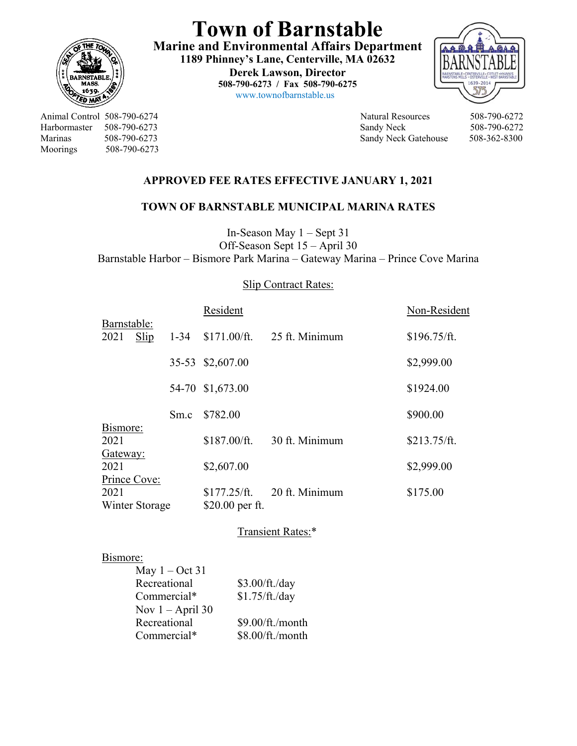

**Town of Barnstable Marine and Environmental Affairs Department 1189 Phinney's Lane, Centerville, MA 02632 Derek Lawson, Director 508-790-6273 / Fax 508-790-6275**   $\frac{1659}{20}$  www.townofbarnstable.us



Animal Control 508-790-6274 Natural Resources 508-790-6272 Harbormaster 508-790-6273 Sandy Neck 508-790-6272 Marinas 508-790-6273 Sandy Neck Gatehouse 508-362-8300 Moorings 508-790-6273

## **APPROVED FEE RATES EFFECTIVE JANUARY 1, 2021**

## **TOWN OF BARNSTABLE MUNICIPAL MARINA RATES**

In-Season May 1 – Sept 31 Off-Season Sept 15 – April 30 Barnstable Harbor – Bismore Park Marina – Gateway Marina – Prince Cove Marina

## Slip Contract Rates:

|                     |                |          | Resident              |                | Non-Resident          |  |  |
|---------------------|----------------|----------|-----------------------|----------------|-----------------------|--|--|
| Barnstable:<br>2021 | Slip           | $1 - 34$ | \$171.00/ft.          | 25 ft. Minimum | $$196.75/\text{ft}$ . |  |  |
|                     |                |          | 35-53 \$2,607.00      |                | \$2,999.00            |  |  |
|                     |                |          | 54-70 \$1,673.00      |                | \$1924.00             |  |  |
|                     |                | Sm.c     | \$782.00              |                | \$900.00              |  |  |
| Bismore:            |                |          |                       |                |                       |  |  |
| 2021                |                |          | \$187.00/ft.          | 30 ft. Minimum | \$213.75/ft.          |  |  |
| Gateway:<br>2021    |                |          | \$2,607.00            |                | \$2,999.00            |  |  |
|                     | Prince Cove:   |          |                       |                |                       |  |  |
| 2021                |                |          | $$177.25/\text{ft}$ . | 20 ft. Minimum | \$175.00              |  |  |
|                     | Winter Storage |          | \$20.00 per ft.       |                |                       |  |  |
| Transient Rates:*   |                |          |                       |                |                       |  |  |
| Bismore:            |                |          |                       |                |                       |  |  |

| May $1 - Oct 31$   |                  |
|--------------------|------------------|
| Recreational       | \$3.00/ft./day   |
| Commercial*        | \$1.75/ft./day   |
| Nov $1 -$ April 30 |                  |
| Recreational       | \$9.00/ft./month |
| Commercial*        | \$8.00/ft./month |